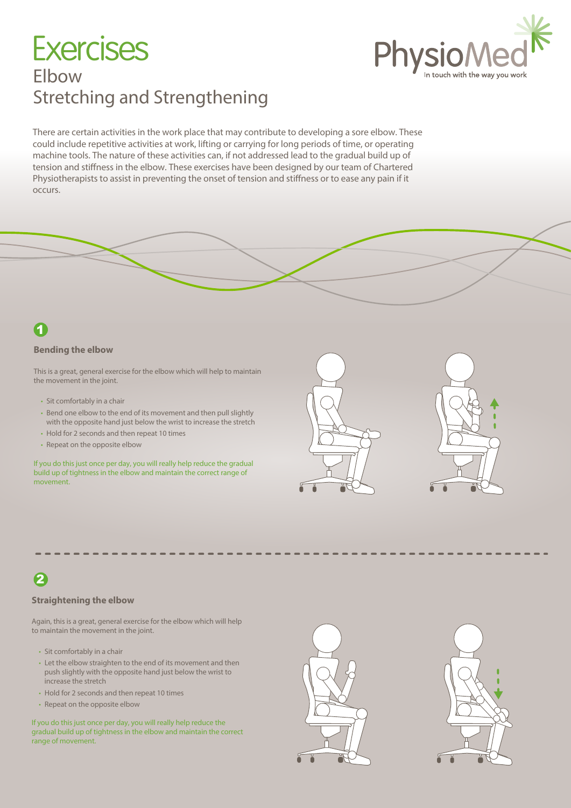# Elbow Stretching and Strengthening **Exercises**



There are certain activities in the work place that may contribute to developing a sore elbow. These could include repetitive activities at work, lifting or carrying for long periods of time, or operating machine tools. The nature of these activities can, if not addressed lead to the gradual build up of tension and stiffness in the elbow. These exercises have been designed by our team of Chartered Physiotherapists to assist in preventing the onset of tension and stiffness or to ease any pain if it occurs.

### 1

### **Bending the elbow**

This is a great, general exercise for the elbow which will help to maintain the movement in the joint.

- Sit comfortably in a chair
- Bend one elbow to the end of its movement and then pull slightly with the opposite hand just below the wrist to increase the stretch
- Hold for 2 seconds and then repeat 10 times
- Repeat on the opposite elbow

If you do this just once per day, you will really help reduce the gradual build up of tightness in the elbow and maintain the correct range of movement.





# 2

### **Straightening the elbow**

Again, this is a great, general exercise for the elbow which will help to maintain the movement in the joint.

- Sit comfortably in a chair
- Let the elbow straighten to the end of its movement and then push slightly with the opposite hand just below the wrist to increase the stretch
- Hold for 2 seconds and then repeat 10 times
- Repeat on the opposite elbow

If you do this just once per day, you will really help reduce the gradual build up of tightness in the elbow and maintain the correct range of movement.



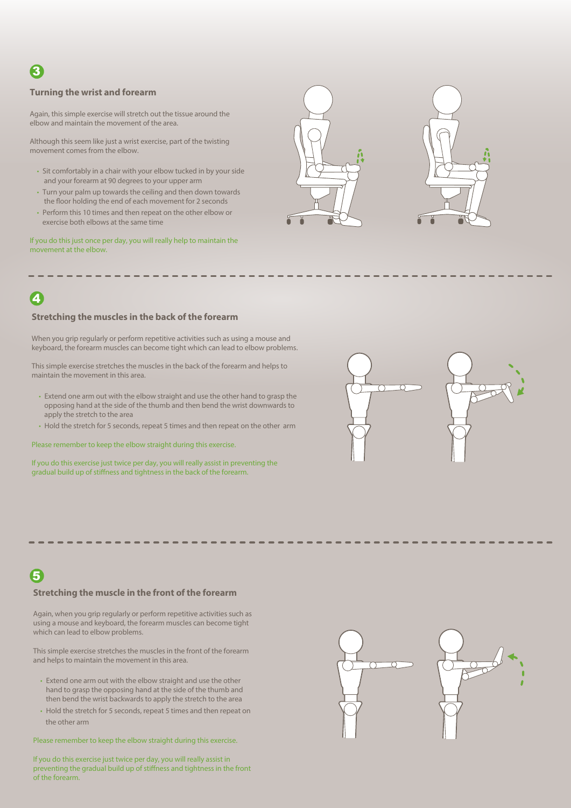# 3

#### **Turning the wrist and forearm**

Again, this simple exercise will stretch out the tissue around the elbow and maintain the movement of the area.

Although this seem like just a wrist exercise, part of the twisting movement comes from the elbow.

- Sit comfortably in a chair with your elbow tucked in by your side and your forearm at 90 degrees to your upper arm
- Turn your palm up towards the ceiling and then down towards the floor holding the end of each movement for 2 seconds
- Perform this 10 times and then repeat on the other elbow or exercise both elbows at the same time

If you do this just once per day, you will really help to maintain the movement at the elbow.





## 4

#### **Stretching the muscles in the back of the forearm**

When you grip regularly or perform repetitive activities such as using a mouse and keyboard, the forearm muscles can become tight which can lead to elbow problems.

This simple exercise stretches the muscles in the back of the forearm and helps to maintain the movement in this area.

- Extend one arm out with the elbow straight and use the other hand to grasp the opposing hand at the side of the thumb and then bend the wrist downwards to apply the stretch to the area
- Hold the stretch for 5 seconds, repeat 5 times and then repeat on the other arm

Please remember to keep the elbow straight during this exercise.

If you do this exercise just twice per day, you will really assist in preventing the gradual build up of stiffness and tightness in the back of the forearm.

### 5

#### **Stretching the muscle in the front of the forearm**

Again, when you grip regularly or perform repetitive activities such as using a mouse and keyboard, the forearm muscles can become tight which can lead to elbow problems.

This simple exercise stretches the muscles in the front of the forearm and helps to maintain the movement in this area.

- Extend one arm out with the elbow straight and use the other hand to grasp the opposing hand at the side of the thumb and then bend the wrist backwards to apply the stretch to the area
- Hold the stretch for 5 seconds, repeat 5 times and then repeat on the other arm

Please remember to keep the elbow straight during this exercise.

If you do this exercise just twice per day, you will really assist in preventing the gradual build up of stiffness and tightness in the front of the forearm.